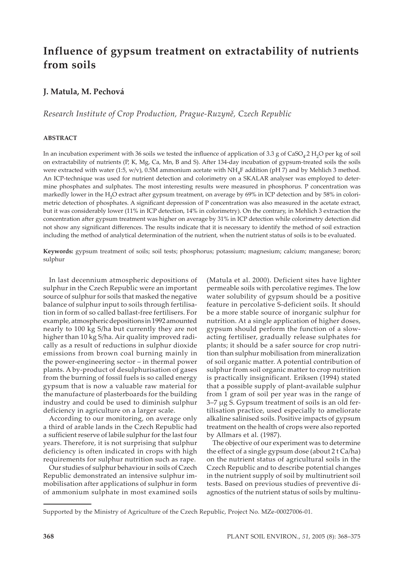# **Influence of gypsum treatment on extractability of nutrients from soils**

# **J. Matula, M. Pechová**

*Research Institute of Crop Production, Prague-Ruzyně, Czech Republic*

# **ABSTRACT**

In an incubation experiment with 36 soils we tested the influence of application of 3.3 g of CaSO<sub>4</sub>.2 H<sub>2</sub>O per kg of soil on extractability of nutrients (P, K, Mg, Ca, Mn, B and S). After 134-day incubation of gypsum-treated soils the soils were extracted with water (1:5, w/v), 0.5M ammonium acetate with  $NH_4F$  addition (pH 7) and by Mehlich 3 method. An ICP-technique was used for nutrient detection and colorimetry on a SKALAR analyser was employed to determine phosphates and sulphates. The most interesting results were measured in phosphorus. P concentration was markedly lower in the  $\rm H_2O$  extract after gypsum treatment, on average by 69% in ICP detection and by 58% in colorimetric detection of phosphates. A significant depression of P concentration was also measured in the acetate extract, but it was considerably lower (11% in ICP detection, 14% in colorimetry). On the contrary, in Mehlich 3 extraction the concentration a�er gypsum treatment was higher on average by 31% in ICP detection while colorimetry detection did not show any significant differences. The results indicate that it is necessary to identify the method of soil extraction including the method of analytical determination of the nutrient, when the nutrient status of soils is to be evaluated.

**Keywords:** gypsum treatment of soils; soil tests; phosphorus; potassium; magnesium; calcium; manganese; boron; sulphur

In last decennium atmospheric depositions of sulphur in the Czech Republic were an important source of sulphur for soils that masked the negative balance of sulphur input to soils through fertilisation in form of so called ballast-free fertilisers. For example, atmospheric depositions in 1992 amounted nearly to 100 kg S/ha but currently they are not higher than 10 kg S/ha. Air quality improved radically as a result of reductions in sulphur dioxide emissions from brown coal burning mainly in the power-engineering sector – in thermal power plants. A by-product of desulphurisation of gases from the burning of fossil fuels is so called energy gypsum that is now a valuable raw material for the manufacture of plasterboards for the building industry and could be used to diminish sulphur deficiency in agriculture on a larger scale.

According to our monitoring, on average only a third of arable lands in the Czech Republic had a sufficient reserve of labile sulphur for the last four years. Therefore, it is not surprising that sulphur deficiency is often indicated in crops with high requirements for sulphur nutrition such as rape.

Our studies of sulphur behaviour in soils of Czech Republic demonstrated an intensive sulphur immobilisation after applications of sulphur in form of ammonium sulphate in most examined soils

(Matula et al. 2000). Deficient sites have lighter permeable soils with percolative regimes. The low water solubility of gypsum should be a positive feature in percolative S-deficient soils. It should be a more stable source of inorganic sulphur for nutrition. At a single application of higher doses, gypsum should perform the function of a slowacting fertiliser, gradually release sulphates for plants; it should be a safer source for crop nutrition than sulphur mobilisation from mineralization of soil organic matter. A potential contribution of sulphur from soil organic matter to crop nutrition is practically insignificant. Eriksen (1994) stated that a possible supply of plant-available sulphur from 1 gram of soil per year was in the range of 3–7 µg S. Gypsum treatment of soils is an old fertilisation practice, used especially to ameliorate alkaline salinised soils. Positive impacts of gypsum treatment on the health of crops were also reported by Allmars et al. (1987).

The objective of our experiment was to determine the effect of a single gypsum dose (about 2 t Ca/ha) on the nutrient status of agricultural soils in the Czech Republic and to describe potential changes in the nutrient supply of soil by multinutrient soil tests. Based on previous studies of preventive diagnostics of the nutrient status of soils by multinu-

Supported by the Ministry of Agriculture of the Czech Republic, Project No. MZe-00027006-01.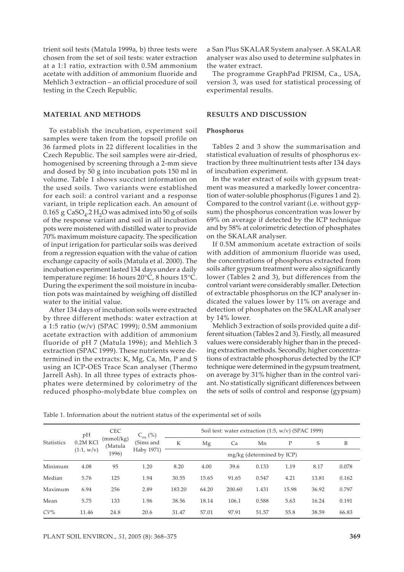trient soil tests (Matula 1999a, b) three tests were chosen from the set of soil tests: water extraction at a 1:1 ratio, extraction with 0.5M ammonium acetate with addition of ammonium fluoride and Mehlich 3 extraction – an official procedure of soil testing in the Czech Republic.

#### **MATERIAL AND METHODS**

To establish the incubation, experiment soil samples were taken from the topsoil profile on 36 farmed plots in 22 different localities in the Czech Republic. The soil samples were air-dried, homogenised by screening through a 2-mm sieve and dosed by 50 g into incubation pots 150 ml in volume. Table 1 shows succinct information on the used soils. Two variants were established for each soil: a control variant and a response variant, in triple replication each. An amount of 0.165 g  $CaSO<sub>4</sub>$ .2 H<sub>2</sub>O was admixed into 50 g of soils of the response variant and soil in all incubation pots were moistened with distilled water to provide 70% maximum moisture capacity. The specification of input irrigation for particular soils was derived from a regression equation with the value of cation exchange capacity of soils (Matula et al. 2000). The incubation experiment lasted 134 days under a daily temperature regime: 16 hours 20°C, 8 hours 15°C. During the experiment the soil moisture in incubation pots was maintained by weighing off distilled water to the initial value.

After 134 days of incubation soils were extracted by three different methods: water extraction at a 1:5 ratio (w/v) (SPAC 1999); 0.5M ammonium acetate extraction with addition of ammonium fluoride of pH 7 (Matula 1996); and Mehlich 3 extraction (SPAC 1999). These nutrients were determined in the extracts: K, Mg, Ca, Mn, P and S using an ICP-OES Trace Scan analyser (Thermo Jarrell Ash). In all three types of extracts phosphates were determined by colorimetry of the reduced phospho-molybdate blue complex on

a San Plus SKALAR System analyser. A SKALAR analyser was also used to determine sulphates in the water extract.

The programme GraphPad PRISM, Ca., USA, version 3, was used for statistical processing of experimental results.

#### **RESULTS AND DISCUSSION**

#### **Phosphorus**

Tables 2 and 3 show the summarisation and statistical evaluation of results of phosphorus extraction by three multinutrient tests after 134 days of incubation experiment.

In the water extract of soils with gypsum treatment was measured a markedly lower concentration of water-soluble phosphorus (Figures 1 and 2). Compared to the control variant (i.e. without gypsum) the phosphorus concentration was lower by 69% on average if detected by the ICP technique and by 58% at colorimetric detection of phosphates on the SKALAR analyser.

If 0.5M ammonium acetate extraction of soils with addition of ammonium fluoride was used, the concentrations of phosphorus extracted from soils after gypsum treatment were also significantly lower (Tables 2 and 3), but differences from the control variant were considerably smaller. Detection of extractable phosphorus on the ICP analyser indicated the values lower by 11% on average and detection of phosphates on the SKALAR analyser by 14% lower.

Mehlich 3 extraction of soils provided quite a different situation (Tables 2 and 3). Firstly, all measured values were considerably higher than in the preceding extraction methods. Secondly, higher concentrations of extractable phosphorus detected by the ICP technique were determined in the gypsum treatment, on average by 31% higher than in the control variant. No statistically significant differences between the sets of soils of control and response (gypsum)

|                                   | <b>CEC</b><br>pH |                      | $C_{ox} (%)$ | Soil test: water extraction $(1:5, w/v)$ (SPAC 1999) |       |                           |       |       |       |       |  |
|-----------------------------------|------------------|----------------------|--------------|------------------------------------------------------|-------|---------------------------|-------|-------|-------|-------|--|
| <b>Statistics</b>                 | $0.2M$ KCl       | (mmol/kg)<br>(Matula | (Sims and    | K                                                    | Mg    | Ca                        | Mn    | Ρ     | S     | B     |  |
| Haby 1971)<br>(1:1, w/v)<br>1996) |                  |                      |              |                                                      |       | mg/kg (determined by ICP) |       |       |       |       |  |
| Minimum                           | 4.08             | 95                   | 1.20         | 8.20                                                 | 4.00  | 39.6                      | 0.133 | 1.19  | 8.17  | 0.078 |  |
| Median                            | 5.76             | 125                  | 1.94         | 30.55                                                | 15.65 | 91.65                     | 0.547 | 4.21  | 13.81 | 0.162 |  |
| Maximum                           | 6.94             | 256                  | 2.89         | 183.20                                               | 64.20 | 200.60                    | 1.431 | 15.98 | 36.92 | 0.797 |  |
| Mean                              | 5.75             | 133                  | 1.96         | 38.56                                                | 18.14 | 106.1                     | 0.588 | 5.63  | 16.24 | 0.191 |  |
| $CV\%$                            | 11.46            | 24.8                 | 20.6         | 31.47                                                | 57.01 | 97.91                     | 51.57 | 55.8  | 38.59 | 66.83 |  |

Table 1. Information about the nutrient status of the experimental set of soils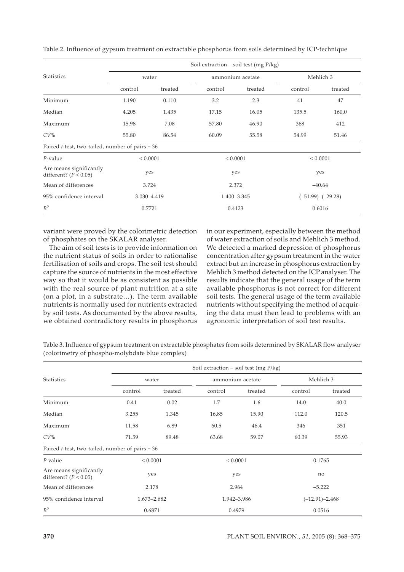|                                                    | Soil extraction – soil test (mg $P/kg$ ) |         |         |                  |                        |              |  |  |  |
|----------------------------------------------------|------------------------------------------|---------|---------|------------------|------------------------|--------------|--|--|--|
| <b>Statistics</b>                                  |                                          | water   |         | ammonium acetate | Mehlich 3              |              |  |  |  |
|                                                    | control                                  | treated | control | treated          | control                | treated      |  |  |  |
| Minimum                                            | 1.190                                    | 0.110   | 3.2     | 2.3              | 41                     | 47           |  |  |  |
| Median                                             | 4.205                                    | 1.435   | 17.15   | 16.05            | 135.5                  | 160.0        |  |  |  |
| Maximum                                            | 15.98                                    | 7.08    | 57.80   | 46.90            | 368                    | 412          |  |  |  |
| $CV\%$                                             | 55.80                                    | 86.54   | 60.09   | 55.58            | 54.99                  | 51.46        |  |  |  |
| Paired $t$ -test, two-tailed, number of pairs = 36 |                                          |         |         |                  |                        |              |  |  |  |
| $P$ -value                                         | ${}< 0.0001$                             |         |         | ${}< 0.0001$     |                        | ${}< 0.0001$ |  |  |  |
| Are means significantly<br>different? $(P < 0.05)$ | yes                                      |         | yes     |                  | yes                    |              |  |  |  |
| Mean of differences                                | 3.724                                    |         | 2.372   |                  | $-40.64$               |              |  |  |  |
| 95% confidence interval                            | 3.030-4.419                              |         |         | 1.400-3.345      | $(-51.99)$ $-(-29.28)$ |              |  |  |  |
| $R^2$                                              |                                          | 0.7721  | 0.4123  |                  | 0.6016                 |              |  |  |  |

Table 2. Influence of gypsum treatment on extractable phosphorus from soils determined by ICP-technique

variant were proved by the colorimetric detection of phosphates on the SKALAR analyser.

The aim of soil tests is to provide information on the nutrient status of soils in order to rationalise fertilisation of soils and crops. The soil test should capture the source of nutrients in the most effective way so that it would be as consistent as possible with the real source of plant nutrition at a site (on a plot, in a substrate…). The term available nutrients is normally used for nutrients extracted by soil tests. As documented by the above results, we obtained contradictory results in phosphorus in our experiment, especially between the method of water extraction of soils and Mehlich 3 method. We detected a marked depression of phosphorus concentration after gypsum treatment in the water extract but an increase in phosphorus extraction by Mehlich 3 method detected on the ICP analyser. The results indicate that the general usage of the term available phosphorus is not correct for different soil tests. The general usage of the term available nutrients without specifying the method of acquiring the data must then lead to problems with an agronomic interpretation of soil test results.

Table 3. Influence of gypsum treatment on extractable phosphates from soils determined by SKALAR flow analyser (colorimetry of phospho-molybdate blue complex)

|                                                    | Soil extraction – soil test (mg $P/kg$ ) |         |         |                  |                  |         |  |  |  |
|----------------------------------------------------|------------------------------------------|---------|---------|------------------|------------------|---------|--|--|--|
| <b>Statistics</b>                                  |                                          | water   |         | ammonium acetate | Mehlich 3        |         |  |  |  |
|                                                    | control                                  | treated | control | treated          | control          | treated |  |  |  |
| Minimum                                            | 0.41                                     | 0.02    | 1.7     | 1.6              | 14.0             | 40.0    |  |  |  |
| Median                                             | 3.255                                    | 1.345   | 16.85   | 15.90            | 112.0            | 120.5   |  |  |  |
| Maximum                                            | 11.58                                    | 6.89    | 60.5    | 46.4             | 346              | 351     |  |  |  |
| $CV\%$                                             | 71.59                                    | 89.48   | 63.68   | 59.07            | 60.39            | 55.93   |  |  |  |
| Paired $t$ -test, two-tailed, number of pairs = 36 |                                          |         |         |                  |                  |         |  |  |  |
| $P$ value                                          | ${}< 0.0001$                             |         |         | ${}< 0.0001$     |                  | 0.1765  |  |  |  |
| Are means significantly<br>different? $(P < 0.05)$ | yes                                      |         |         | yes              | no               |         |  |  |  |
| Mean of differences                                | 2.178                                    |         | 2.964   |                  | $-5.222$         |         |  |  |  |
| 95% confidence interval                            | 1.673-2.682                              |         |         | 1.942-3.986      | $(-12.91)-2.468$ |         |  |  |  |
| $R^2$                                              |                                          | 0.6871  |         | 0.4979           |                  | 0.0516  |  |  |  |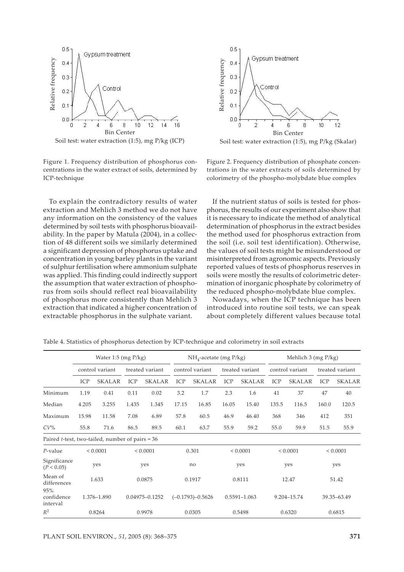

Figure 1. Frequency distribution of phosphorus concentrations in the water extract of soils, determined by ICP-technique

To explain the contradictory results of water extraction and Mehlich 3 method we do not have any information on the consistency of the values determined by soil tests with phosphorus bioavailability. In the paper by Matula  $(2004)$ , in a collection of 48 different soils we similarly determined a significant depression of phosphorus uptake and concentration in young barley plants in the variant of sulphur fertilisation where ammonium sulphate was applied. This finding could indirectly support the assumption that water extraction of phosphorus from soils should reflect real bioavailability of phosphorus more consistently than Mehlich 3 extraction that indicated a higher concentration of extractable phosphorus in the sulphate variant.



Figure 2. Frequency distribution of phosphate concentrations in the water extracts of soils determined by colorimetry of the phospho-molybdate blue complex

If the nutrient status of soils is tested for phosphorus, the results of our experiment also show that it is necessary to indicate the method of analytical determination of phosphorus in the extract besides the method used for phosphorus extraction from the soil (i.e. soil test identification). Otherwise, the values of soil tests might be misunderstood or misinterpreted from agronomic aspects. Previously reported values of tests of phosphorus reserves in soils were mostly the results of colorimetric determination of inorganic phosphate by colorimetry of the reduced phospho-molybdate blue complex.

Nowadays, when the ICP technique has been introduced into routine soil tests, we can speak about completely different values because total

|  |  | Table 4. Statistics of phosphorus detection by ICP-technique and colorimetry in soil extracts |  |  |  |
|--|--|-----------------------------------------------------------------------------------------------|--|--|--|
|--|--|-----------------------------------------------------------------------------------------------|--|--|--|

|                                                    | Water 1:5 (mg $P/kg$ ) |               |                 |                | $NH4$ -acetate (mg P/kg) |                    |                 |                  | Mehlich $3$ (mg $P/kg$ ) |               |                 |               |
|----------------------------------------------------|------------------------|---------------|-----------------|----------------|--------------------------|--------------------|-----------------|------------------|--------------------------|---------------|-----------------|---------------|
|                                                    | control variant        |               | treated variant |                | control variant          |                    | treated variant |                  | control variant          |               | treated variant |               |
|                                                    | ICP                    | <b>SKALAR</b> | ICP             | <b>SKALAR</b>  | ICP                      | <b>SKALAR</b>      | ICP             | <b>SKALAR</b>    | ICP                      | <b>SKALAR</b> | ICP             | <b>SKALAR</b> |
| Minimum                                            | 1.19                   | 0.41          | 0.11            | 0.02           | 3.2                      | 1.7                | 2.3             | 1.6              | 41                       | 37            | 47              | 40            |
| Median                                             | 4.205                  | 3.255         | 1.435           | 1.345          | 17.15                    | 16.85              | 16.05           | 15.40            | 135.5                    | 116.5         | 160.0           | 120.5         |
| Maximum                                            | 15.98                  | 11.58         | 7.08            | 6.89           | 57.8                     | 60.5               | 46.9            | 46.40            | 368                      | 346           | 412             | 351           |
| $CV\%$                                             | 55.8                   | 71.6          | 86.5            | 89.5           | 60.1                     | 63.7               | 55.9            | 59.2             | 55.0                     | 59.9          | 51.5            | 55.9          |
| Paired $t$ -test, two-tailed, number of pairs = 36 |                        |               |                 |                |                          |                    |                 |                  |                          |               |                 |               |
| $P$ -value                                         |                        | ${}< 0.0001$  |                 | ${}< 0.0001$   |                          | 0.301              |                 | ${}< 0.0001$     |                          | ${}< 0.0001$  |                 | < 0.0001      |
| Significance<br>(P < 0.05)                         |                        | yes           |                 | yes            |                          | no                 |                 | yes              |                          | yes           |                 | yes           |
| Mean of<br>differences                             | 1.633                  |               | 0.0875          |                | 0.1917                   |                    | 0.8111          |                  | 12.47                    |               | 51.42           |               |
| 95%<br>confidence<br>interval                      |                        | 1.376-1.890   |                 | 0.04975-0.1252 |                          | $(-0.1793)-0.5626$ |                 | $0.5591 - 1.063$ |                          | 9.204-15.74   |                 | 39.35-63.49   |
| $R^2$                                              |                        | 0.8264        |                 | 0.9978         |                          | 0.0305             |                 | 0.5498           | 0.6320                   |               |                 | 0.6815        |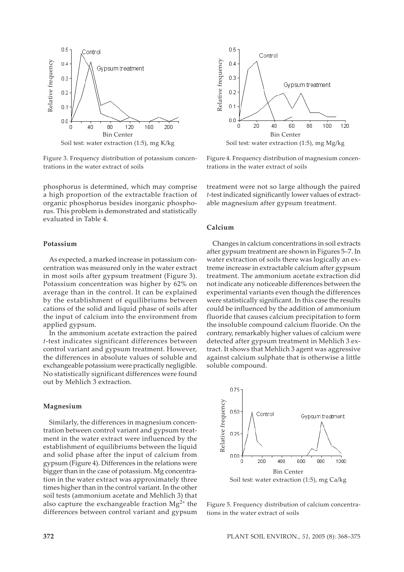

Figure 3. Frequency distribution of potassium concentrations in the water extract of soils

phosphorus is determined, which may comprise a high proportion of the extractable fraction of organic phosphorus besides inorganic phosphorus. This problem is demonstrated and statistically evaluated in Table 4.

#### **Potassium**

As expected, a marked increase in potassium concentration was measured only in the water extract in most soils after gypsum treatment (Figure 3). Potassium concentration was higher by 62% on average than in the control. It can be explained by the establishment of equilibriums between cations of the solid and liquid phase of soils after the input of calcium into the environment from applied gypsum.

In the ammonium acetate extraction the paired *t*-test indicates significant differences between control variant and gypsum treatment. However, the differences in absolute values of soluble and exchangeable potassium were practically negligible. No statistically significant differences were found out by Mehlich 3 extraction.

# **Magnesium**

Similarly, the differences in magnesium concentration between control variant and gypsum treatment in the water extract were influenced by the establishment of equilibriums between the liquid and solid phase after the input of calcium from gypsum (Figure 4). Differences in the relations were bigger than in the case of potassium. Mg concentration in the water extract was approximately three times higher than in the control variant. In the other soil tests (ammonium acetate and Mehlich 3) that also capture the exchangeable fraction  $Mg^{2+}$  the differences between control variant and gypsum



Figure 4. Frequency distribution of magnesium concentrations in the water extract of soils

treatment were not so large although the paired *t*-test indicated significantly lower values of extractable magnesium after gypsum treatment.

#### **Calcium**

Changes in calcium concentrations in soil extracts after gypsum treatment are shown in Figures 5–7. In water extraction of soils there was logically an extreme increase in extractable calcium after gypsum treatment. The ammonium acetate extraction did not indicate any noticeable differences between the experimental variants even though the differences were statistically significant. In this case the results could be influenced by the addition of ammonium fluoride that causes calcium precipitation to form the insoluble compound calcium fluoride. On the contrary, remarkably higher values of calcium were detected after gypsum treatment in Mehlich 3 extract. It shows that Mehlich 3 agent was aggressive against calcium sulphate that is otherwise a little soluble compound.



Figure 5. Frequency distribution of calcium concentrations in the water extract of soils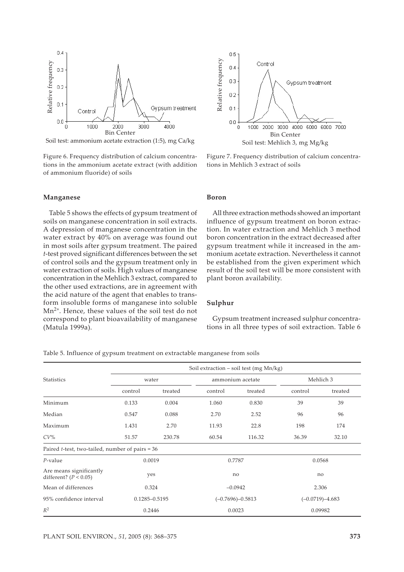

Figure 6. Frequency distribution of calcium concentrations in the ammonium acetate extract (with addition of ammonium fluoride) of soils

#### **Manganese**

Table 5 shows the effects of gypsum treatment of soils on manganese concentration in soil extracts. A depression of manganese concentration in the water extract by 40% on average was found out in most soils after gypsum treatment. The paired *t*-test proved significant differences between the set of control soils and the gypsum treatment only in water extraction of soils. High values of manganese concentration in the Mehlich 3 extract, compared to the other used extractions, are in agreement with the acid nature of the agent that enables to transform insoluble forms of manganese into soluble  $Mn^{2+}$ . Hence, these values of the soil test do not correspond to plant bioavailability of manganese (Matula 1999a).



Figure 7. Frequency distribution of calcium concentrations in Mehlich 3 extract of soils

#### **Boron**

All three extraction methods showed an important influence of gypsum treatment on boron extraction. In water extraction and Mehlich 3 method boron concentration in the extract decreased after gypsum treatment while it increased in the ammonium acetate extraction. Nevertheless it cannot be established from the given experiment which result of the soil test will be more consistent with plant boron availability.

#### **Sulphur**

Gypsum treatment increased sulphur concentrations in all three types of soil extraction. Table 6

Table 5. Influence of gypsum treatment on extractable manganese from soils

|                                                    | Soil extraction $-$ soil test (mg $Mn/kg$ ) |         |         |                    |                   |         |  |  |  |
|----------------------------------------------------|---------------------------------------------|---------|---------|--------------------|-------------------|---------|--|--|--|
| <b>Statistics</b>                                  |                                             | water   |         | ammonium acetate   | Mehlich 3         |         |  |  |  |
|                                                    | control                                     | treated | control | treated            | control           | treated |  |  |  |
| Minimum                                            | 0.133                                       | 0.004   | 1.060   | 0.830              | 39                | 39      |  |  |  |
| Median                                             | 0.547                                       | 0.088   | 2.70    | 2.52               | 96                | 96      |  |  |  |
| Maximum                                            | 1.431                                       | 2.70    | 11.93   | 22.8               | 198               | 174     |  |  |  |
| $CV\%$                                             | 51.57                                       | 230.78  | 60.54   | 116.32             | 36.39             | 32.10   |  |  |  |
| Paired $t$ -test, two-tailed, number of pairs = 36 |                                             |         |         |                    |                   |         |  |  |  |
| $P$ -value                                         | 0.0019                                      |         |         | 0.7787             |                   | 0.0568  |  |  |  |
| Are means significantly<br>different? $(P < 0.05)$ | yes                                         |         | no      |                    | no                |         |  |  |  |
| Mean of differences                                | 0.324                                       |         |         | $-0.0942$          | 2.306             |         |  |  |  |
| 95% confidence interval                            | $0.1285 - 0.5195$                           |         |         | $(-0.7696)-0.5813$ | $(-0.0719)-4.683$ |         |  |  |  |
| $R^2$                                              |                                             | 0.2446  |         | 0.0023             |                   | 0.09982 |  |  |  |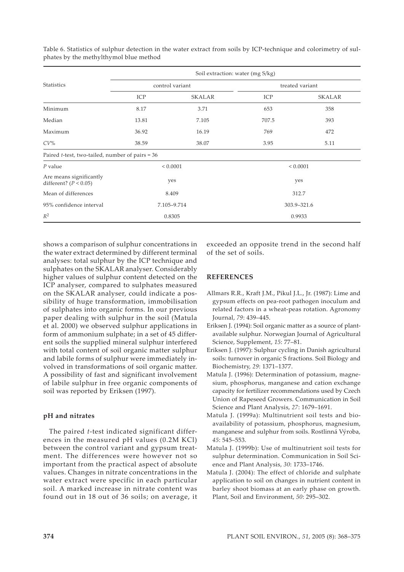|                                                    | Soil extraction: water (mg S/kg) |                              |                 |               |  |  |  |  |  |
|----------------------------------------------------|----------------------------------|------------------------------|-----------------|---------------|--|--|--|--|--|
| <b>Statistics</b>                                  |                                  | control variant              | treated variant |               |  |  |  |  |  |
|                                                    | ICP                              | <b>SKALAR</b>                | ICP             | <b>SKALAR</b> |  |  |  |  |  |
| Minimum                                            | 8.17                             | 3.71                         | 653             | 358           |  |  |  |  |  |
| Median                                             | 13.81                            | 7.105                        | 707.5           | 393           |  |  |  |  |  |
| Maximum                                            | 36.92                            | 16.19                        | 769             | 472           |  |  |  |  |  |
| $CV\%$                                             | 38.59                            | 38.07                        | 3.95            | 5.11          |  |  |  |  |  |
| Paired $t$ -test, two-tailed, number of pairs = 36 |                                  |                              |                 |               |  |  |  |  |  |
| $P$ value                                          |                                  | ${}< 0.0001$<br>${}< 0.0001$ |                 |               |  |  |  |  |  |
| Are means significantly<br>different? $(P < 0.05)$ |                                  | yes                          | yes             |               |  |  |  |  |  |
| Mean of differences                                |                                  | 8.409                        |                 | 312.7         |  |  |  |  |  |
| 95% confidence interval                            |                                  | 7.105-9.714                  | 303.9-321.6     |               |  |  |  |  |  |
| $R^2$                                              |                                  | 0.8305                       | 0.9933          |               |  |  |  |  |  |

Table 6. Statistics of sulphur detection in the water extract from soils by ICP-technique and colorimetry of sulphates by the methylthymol blue method

shows a comparison of sulphur concentrations in the water extract determined by different terminal analyses: total sulphur by the ICP technique and sulphates on the SKALAR analyser. Considerably higher values of sulphur content detected on the ICP analyser, compared to sulphates measured on the SKALAR analyser, could indicate a possibility of huge transformation, immobilisation of sulphates into organic forms. In our previous paper dealing with sulphur in the soil (Matula et al. 2000) we observed sulphur applications in form of ammonium sulphate; in a set of 45 different soils the supplied mineral sulphur interfered with total content of soil organic matter sulphur and labile forms of sulphur were immediately involved in transformations of soil organic matter. A possibility of fast and significant involvement of labile sulphur in free organic components of soil was reported by Eriksen (1997).

# **pH and nitrates**

The paired *t*-test indicated significant differences in the measured pH values (0.2M KCl) between the control variant and gypsum treatment. The differences were however not so important from the practical aspect of absolute values. Changes in nitrate concentrations in the water extract were specific in each particular soil. A marked increase in nitrate content was found out in 18 out of 36 soils; on average, it exceeded an opposite trend in the second half of the set of soils.

# **REFERENCES**

- Allmars R.R., Kraft J.M., Pikul J.L., Jr. (1987): Lime and gypsum effects on pea-root pathogen inoculum and related factors in a wheat-peas rotation. Agronomy Journal, *79*: 439–445.
- Eriksen J. (1994): Soil organic matter as a source of plantavailable sulphur. Norwegian Journal of Agricultural Science, Supplement, *15*: 77–81.
- Eriksen J. (1997): Sulphur cycling in Danish agricultural soils: turnover in organic S fractions. Soil Biology and Biochemistry, *29*: 1371–1377.
- Matula J. (1996): Determination of potassium, magnesium, phosphorus, manganese and cation exchange capacity for fertilizer recommendations used by Czech Union of Rapeseed Growers. Communication in Soil Science and Plant Analysis, *27*: 1679–1691.
- Matula J. (1999a): Multinutrient soil tests and bioavailability of potassium, phosphorus, magnesium, manganese and sulphur from soils. Rostlinná Výroba, *45*: 545–553.
- Matula J. (1999b): Use of multinutrient soil tests for sulphur determination. Communication in Soil Science and Plant Analysis, *30*: 1733–1746.
- Matula J. (2004): The effect of chloride and sulphate application to soil on changes in nutrient content in barley shoot biomass at an early phase on growth. Plant, Soil and Environment, *50*: 295–302.